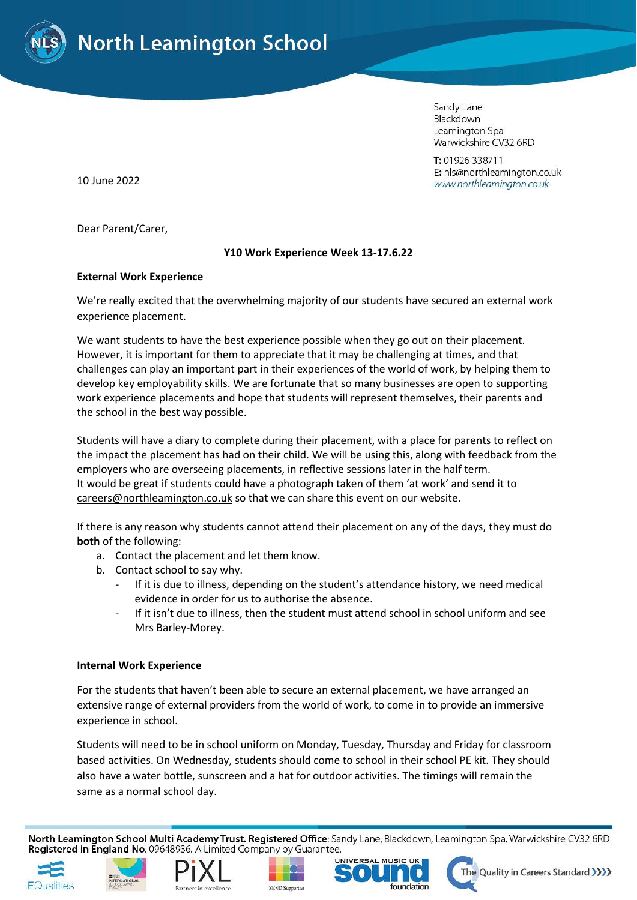

Sandy Lane Blackdown Leamington Spa Warwickshire CV32 6RD

T: 01926 338711 E: nls@northleamington.co.uk www.northleamington.co.uk

10 June 2022

Dear Parent/Carer,

## **Y10 Work Experience Week 13-17.6.22**

## **External Work Experience**

We're really excited that the overwhelming majority of our students have secured an external work experience placement.

We want students to have the best experience possible when they go out on their placement. However, it is important for them to appreciate that it may be challenging at times, and that challenges can play an important part in their experiences of the world of work, by helping them to develop key employability skills. We are fortunate that so many businesses are open to supporting work experience placements and hope that students will represent themselves, their parents and the school in the best way possible.

Students will have a diary to complete during their placement, with a place for parents to reflect on the impact the placement has had on their child. We will be using this, along with feedback from the employers who are overseeing placements, in reflective sessions later in the half term. It would be great if students could have a photograph taken of them 'at work' and send it to [careers@northleamington.co.uk](mailto:careers@northleamington.co.uk) so that we can share this event on our website.

If there is any reason why students cannot attend their placement on any of the days, they must do **both** of the following:

- a. Contact the placement and let them know.
- b. Contact school to say why.
	- If it is due to illness, depending on the student's attendance history, we need medical evidence in order for us to authorise the absence.
	- If it isn't due to illness, then the student must attend school in school uniform and see Mrs Barley-Morey.

## **Internal Work Experience**

For the students that haven't been able to secure an external placement, we have arranged an extensive range of external providers from the world of work, to come in to provide an immersive experience in school.

Students will need to be in school uniform on Monday, Tuesday, Thursday and Friday for classroom based activities. On Wednesday, students should come to school in their school PE kit. They should also have a water bottle, sunscreen and a hat for outdoor activities. The timings will remain the same as a normal school day.

North Leamington School Multi Academy Trust. Registered Office: Sandy Lane, Blackdown, Leamington Spa, Warwickshire CV32 6RD Registered in England No. 09648936. A Limited Company by Guarantee.